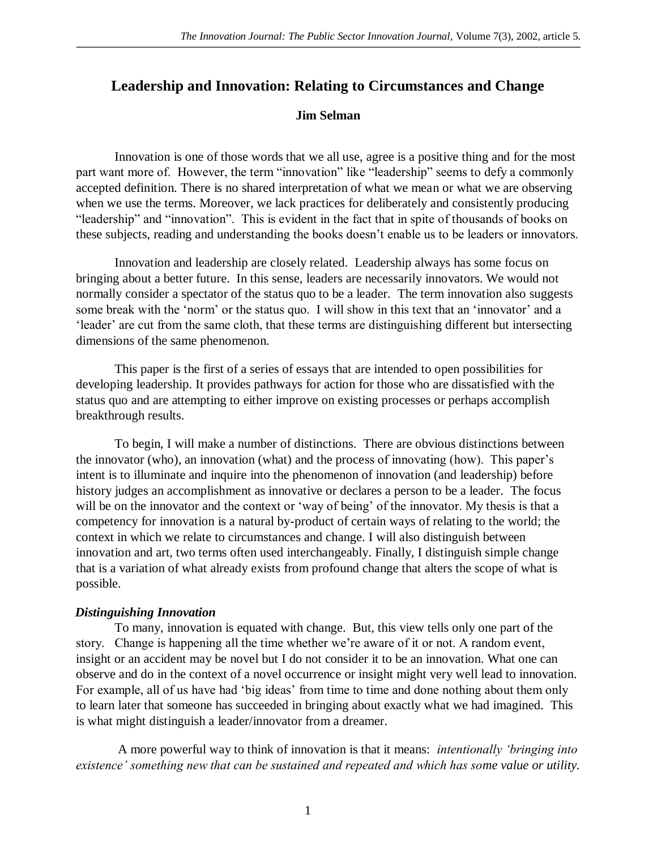## **Leadership and Innovation: Relating to Circumstances and Change**

#### **Jim Selman**

Innovation is one of those words that we all use, agree is a positive thing and for the most part want more of. However, the term "innovation" like "leadership" seems to defy a commonly accepted definition. There is no shared interpretation of what we mean or what we are observing when we use the terms. Moreover, we lack practices for deliberately and consistently producing "leadership" and "innovation". This is evident in the fact that in spite of thousands of books on these subjects, reading and understanding the books doesn't enable us to be leaders or innovators.

Innovation and leadership are closely related. Leadership always has some focus on bringing about a better future. In this sense, leaders are necessarily innovators. We would not normally consider a spectator of the status quo to be a leader. The term innovation also suggests some break with the 'norm' or the status quo. I will show in this text that an 'innovator' and a 'leader' are cut from the same cloth, that these terms are distinguishing different but intersecting dimensions of the same phenomenon.

This paper is the first of a series of essays that are intended to open possibilities for developing leadership. It provides pathways for action for those who are dissatisfied with the status quo and are attempting to either improve on existing processes or perhaps accomplish breakthrough results.

To begin, I will make a number of distinctions. There are obvious distinctions between the innovator (who), an innovation (what) and the process of innovating (how). This paper's intent is to illuminate and inquire into the phenomenon of innovation (and leadership) before history judges an accomplishment as innovative or declares a person to be a leader. The focus will be on the innovator and the context or 'way of being' of the innovator. My thesis is that a competency for innovation is a natural by-product of certain ways of relating to the world; the context in which we relate to circumstances and change. I will also distinguish between innovation and art, two terms often used interchangeably. Finally, I distinguish simple change that is a variation of what already exists from profound change that alters the scope of what is possible.

#### *Distinguishing Innovation*

To many, innovation is equated with change. But, this view tells only one part of the story. Change is happening all the time whether we're aware of it or not. A random event, insight or an accident may be novel but I do not consider it to be an innovation. What one can observe and do in the context of a novel occurrence or insight might very well lead to innovation. For example, all of us have had 'big ideas' from time to time and done nothing about them only to learn later that someone has succeeded in bringing about exactly what we had imagined. This is what might distinguish a leader/innovator from a dreamer.

A more powerful way to think of innovation is that it means: *intentionally 'bringing into existence' something new that can be sustained and repeated and which has some value or utility.*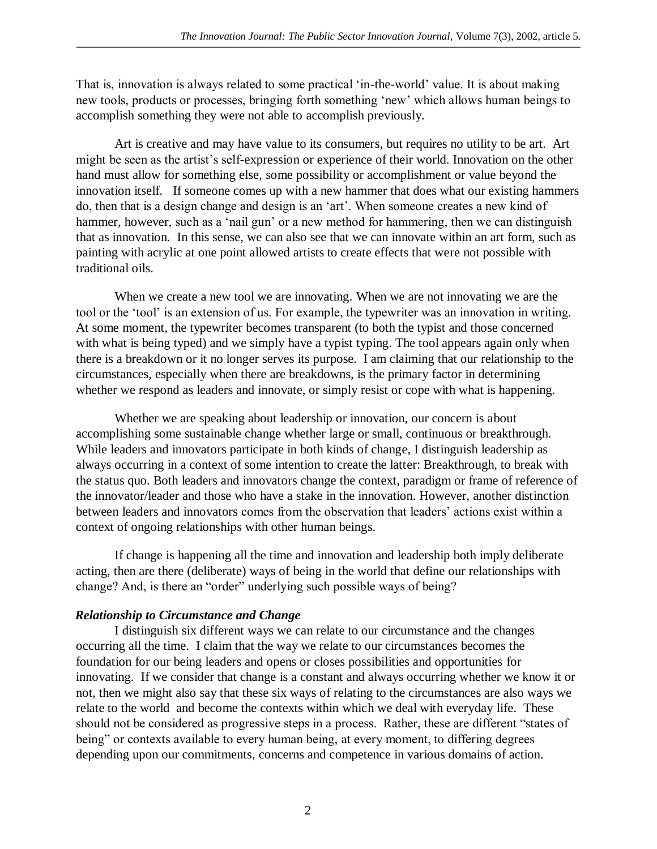That is, innovation is always related to some practical 'in-the-world' value. It is about making new tools, products or processes, bringing forth something 'new' which allows human beings to accomplish something they were not able to accomplish previously.

Art is creative and may have value to its consumers, but requires no utility to be art. Art might be seen as the artist's self-expression or experience of their world. Innovation on the other hand must allow for something else, some possibility or accomplishment or value beyond the innovation itself. If someone comes up with a new hammer that does what our existing hammers do, then that is a design change and design is an 'art'. When someone creates a new kind of hammer, however, such as a 'nail gun' or a new method for hammering, then we can distinguish that as innovation. In this sense, we can also see that we can innovate within an art form, such as painting with acrylic at one point allowed artists to create effects that were not possible with traditional oils.

When we create a new tool we are innovating. When we are not innovating we are the tool or the 'tool' is an extension of us. For example, the typewriter was an innovation in writing. At some moment, the typewriter becomes transparent (to both the typist and those concerned with what is being typed) and we simply have a typist typing. The tool appears again only when there is a breakdown or it no longer serves its purpose. I am claiming that our relationship to the circumstances, especially when there are breakdowns, is the primary factor in determining whether we respond as leaders and innovate, or simply resist or cope with what is happening.

Whether we are speaking about leadership or innovation, our concern is about accomplishing some sustainable change whether large or small, continuous or breakthrough. While leaders and innovators participate in both kinds of change, I distinguish leadership as always occurring in a context of some intention to create the latter: Breakthrough, to break with the status quo. Both leaders and innovators change the context, paradigm or frame of reference of the innovator/leader and those who have a stake in the innovation. However, another distinction between leaders and innovators comes from the observation that leaders' actions exist within a context of ongoing relationships with other human beings.

If change is happening all the time and innovation and leadership both imply deliberate acting, then are there (deliberate) ways of being in the world that define our relationships with change? And, is there an "order" underlying such possible ways of being?

## *Relationship to Circumstance and Change*

I distinguish six different ways we can relate to our circumstance and the changes occurring all the time. I claim that the way we relate to our circumstances becomes the foundation for our being leaders and opens or closes possibilities and opportunities for innovating. If we consider that change is a constant and always occurring whether we know it or not, then we might also say that these six ways of relating to the circumstances are also ways we relate to the world and become the contexts within which we deal with everyday life. These should not be considered as progressive steps in a process. Rather, these are different "states of being" or contexts available to every human being, at every moment, to differing degrees depending upon our commitments, concerns and competence in various domains of action.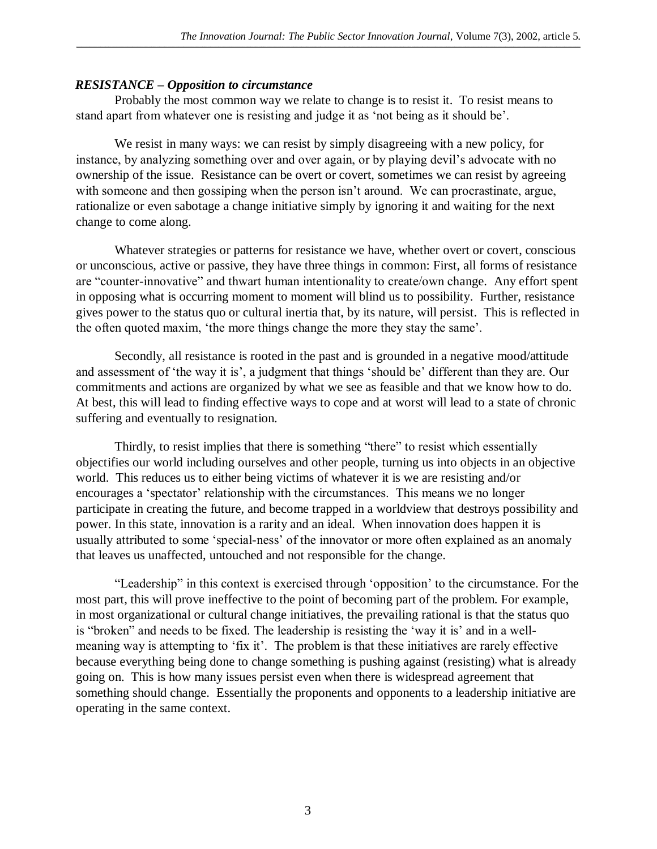#### *RESISTANCE – Opposition to circumstance*

Probably the most common way we relate to change is to resist it. To resist means to stand apart from whatever one is resisting and judge it as 'not being as it should be'.

We resist in many ways: we can resist by simply disagreeing with a new policy, for instance, by analyzing something over and over again, or by playing devil's advocate with no ownership of the issue. Resistance can be overt or covert, sometimes we can resist by agreeing with someone and then gossiping when the person isn't around. We can procrastinate, argue, rationalize or even sabotage a change initiative simply by ignoring it and waiting for the next change to come along.

Whatever strategies or patterns for resistance we have, whether overt or covert, conscious or unconscious, active or passive, they have three things in common: First, all forms of resistance are "counter-innovative" and thwart human intentionality to create/own change. Any effort spent in opposing what is occurring moment to moment will blind us to possibility. Further, resistance gives power to the status quo or cultural inertia that, by its nature, will persist. This is reflected in the often quoted maxim, 'the more things change the more they stay the same'.

Secondly, all resistance is rooted in the past and is grounded in a negative mood/attitude and assessment of 'the way it is', a judgment that things 'should be' different than they are. Our commitments and actions are organized by what we see as feasible and that we know how to do. At best, this will lead to finding effective ways to cope and at worst will lead to a state of chronic suffering and eventually to resignation.

Thirdly, to resist implies that there is something "there" to resist which essentially objectifies our world including ourselves and other people, turning us into objects in an objective world. This reduces us to either being victims of whatever it is we are resisting and/or encourages a 'spectator' relationship with the circumstances. This means we no longer participate in creating the future, and become trapped in a worldview that destroys possibility and power. In this state, innovation is a rarity and an ideal. When innovation does happen it is usually attributed to some 'special-ness' of the innovator or more often explained as an anomaly that leaves us unaffected, untouched and not responsible for the change.

"Leadership" in this context is exercised through 'opposition' to the circumstance. For the most part, this will prove ineffective to the point of becoming part of the problem. For example, in most organizational or cultural change initiatives, the prevailing rational is that the status quo is "broken" and needs to be fixed. The leadership is resisting the 'way it is' and in a wellmeaning way is attempting to 'fix it'. The problem is that these initiatives are rarely effective because everything being done to change something is pushing against (resisting) what is already going on. This is how many issues persist even when there is widespread agreement that something should change. Essentially the proponents and opponents to a leadership initiative are operating in the same context.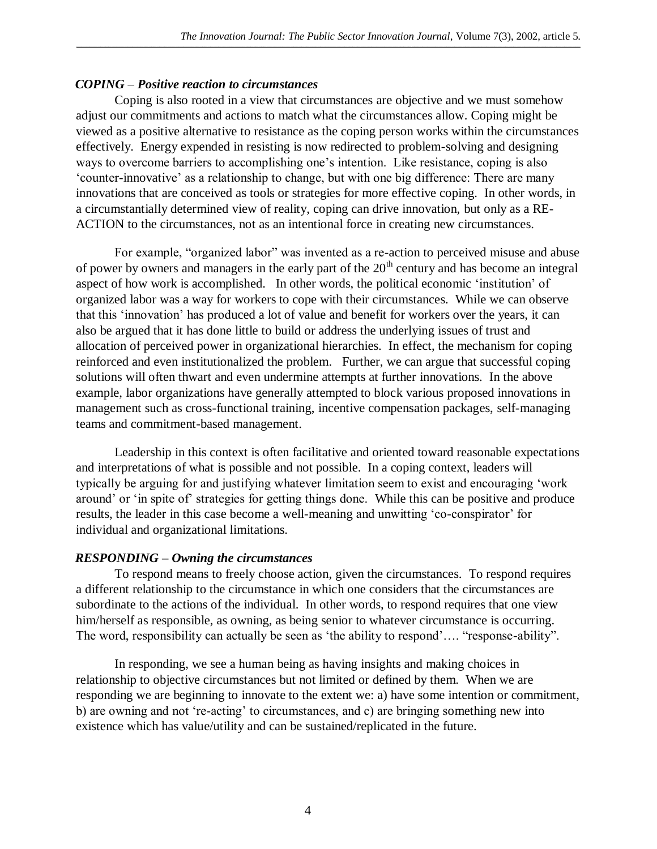#### *COPING – Positive reaction to circumstances*

Coping is also rooted in a view that circumstances are objective and we must somehow adjust our commitments and actions to match what the circumstances allow. Coping might be viewed as a positive alternative to resistance as the coping person works within the circumstances effectively. Energy expended in resisting is now redirected to problem-solving and designing ways to overcome barriers to accomplishing one's intention. Like resistance, coping is also 'counter-innovative' as a relationship to change, but with one big difference: There are many innovations that are conceived as tools or strategies for more effective coping. In other words, in a circumstantially determined view of reality, coping can drive innovation, but only as a RE-ACTION to the circumstances, not as an intentional force in creating new circumstances.

For example, "organized labor" was invented as a re-action to perceived misuse and abuse of power by owners and managers in the early part of the  $20<sup>th</sup>$  century and has become an integral aspect of how work is accomplished. In other words, the political economic 'institution' of organized labor was a way for workers to cope with their circumstances. While we can observe that this 'innovation' has produced a lot of value and benefit for workers over the years, it can also be argued that it has done little to build or address the underlying issues of trust and allocation of perceived power in organizational hierarchies. In effect, the mechanism for coping reinforced and even institutionalized the problem. Further, we can argue that successful coping solutions will often thwart and even undermine attempts at further innovations. In the above example, labor organizations have generally attempted to block various proposed innovations in management such as cross-functional training, incentive compensation packages, self-managing teams and commitment-based management.

Leadership in this context is often facilitative and oriented toward reasonable expectations and interpretations of what is possible and not possible. In a coping context, leaders will typically be arguing for and justifying whatever limitation seem to exist and encouraging 'work around' or 'in spite of' strategies for getting things done. While this can be positive and produce results, the leader in this case become a well-meaning and unwitting 'co-conspirator' for individual and organizational limitations.

## *RESPONDING – Owning the circumstances*

To respond means to freely choose action, given the circumstances. To respond requires a different relationship to the circumstance in which one considers that the circumstances are subordinate to the actions of the individual. In other words, to respond requires that one view him/herself as responsible, as owning, as being senior to whatever circumstance is occurring. The word, responsibility can actually be seen as 'the ability to respond'…. "response-ability".

In responding, we see a human being as having insights and making choices in relationship to objective circumstances but not limited or defined by them. When we are responding we are beginning to innovate to the extent we: a) have some intention or commitment, b) are owning and not 're-acting' to circumstances, and c) are bringing something new into existence which has value/utility and can be sustained/replicated in the future.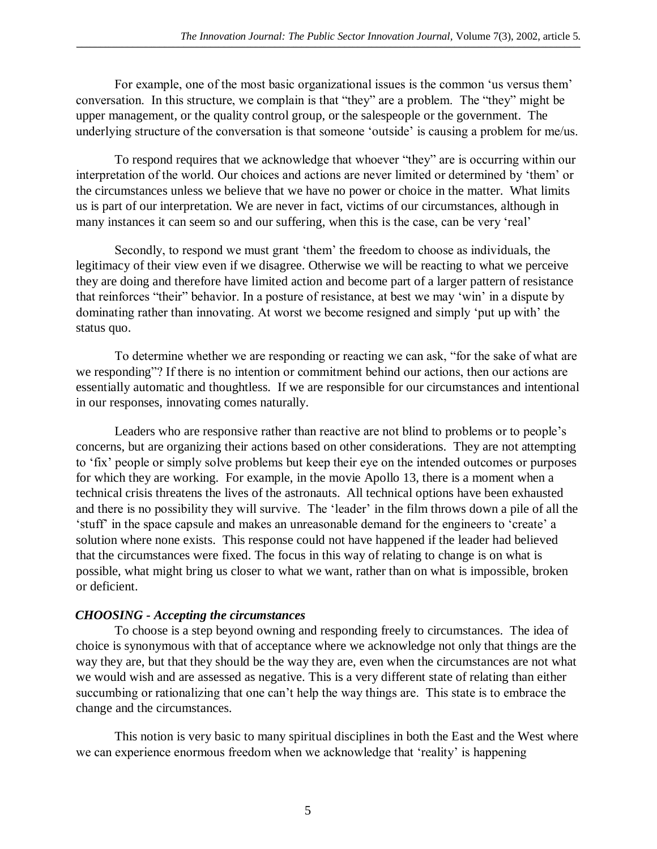For example, one of the most basic organizational issues is the common 'us versus them' conversation. In this structure, we complain is that "they" are a problem. The "they" might be upper management, or the quality control group, or the salespeople or the government. The underlying structure of the conversation is that someone 'outside' is causing a problem for me/us.

To respond requires that we acknowledge that whoever "they" are is occurring within our interpretation of the world. Our choices and actions are never limited or determined by 'them' or the circumstances unless we believe that we have no power or choice in the matter. What limits us is part of our interpretation. We are never in fact, victims of our circumstances, although in many instances it can seem so and our suffering, when this is the case, can be very 'real'

Secondly, to respond we must grant 'them' the freedom to choose as individuals, the legitimacy of their view even if we disagree. Otherwise we will be reacting to what we perceive they are doing and therefore have limited action and become part of a larger pattern of resistance that reinforces "their" behavior. In a posture of resistance, at best we may 'win' in a dispute by dominating rather than innovating. At worst we become resigned and simply 'put up with' the status quo.

To determine whether we are responding or reacting we can ask, "for the sake of what are we responding"? If there is no intention or commitment behind our actions, then our actions are essentially automatic and thoughtless. If we are responsible for our circumstances and intentional in our responses, innovating comes naturally.

Leaders who are responsive rather than reactive are not blind to problems or to people's concerns, but are organizing their actions based on other considerations. They are not attempting to 'fix' people or simply solve problems but keep their eye on the intended outcomes or purposes for which they are working. For example, in the movie Apollo 13, there is a moment when a technical crisis threatens the lives of the astronauts. All technical options have been exhausted and there is no possibility they will survive. The 'leader' in the film throws down a pile of all the 'stuff' in the space capsule and makes an unreasonable demand for the engineers to 'create' a solution where none exists. This response could not have happened if the leader had believed that the circumstances were fixed. The focus in this way of relating to change is on what is possible, what might bring us closer to what we want, rather than on what is impossible, broken or deficient.

## *CHOOSING - Accepting the circumstances*

To choose is a step beyond owning and responding freely to circumstances. The idea of choice is synonymous with that of acceptance where we acknowledge not only that things are the way they are, but that they should be the way they are, even when the circumstances are not what we would wish and are assessed as negative. This is a very different state of relating than either succumbing or rationalizing that one can't help the way things are. This state is to embrace the change and the circumstances.

This notion is very basic to many spiritual disciplines in both the East and the West where we can experience enormous freedom when we acknowledge that 'reality' is happening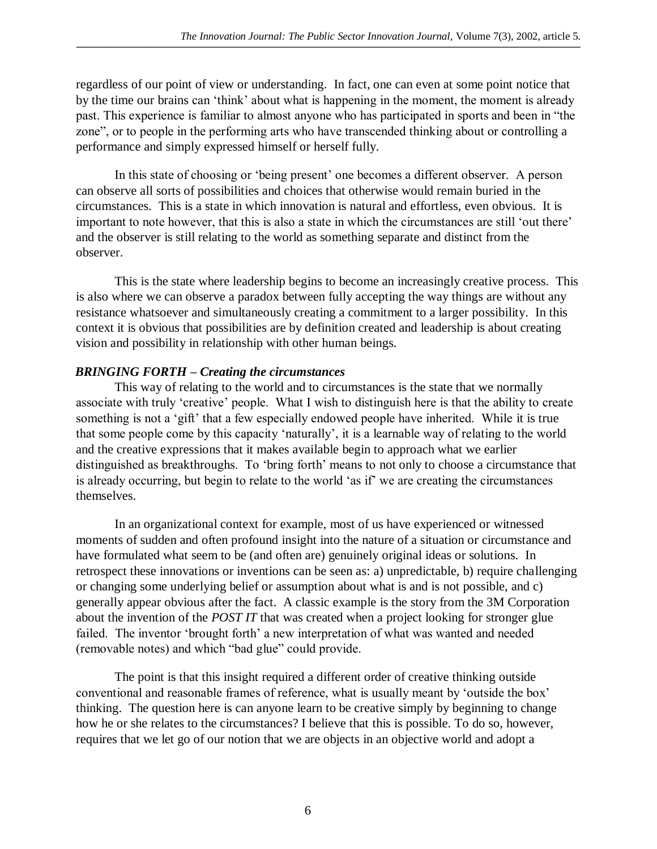regardless of our point of view or understanding. In fact, one can even at some point notice that by the time our brains can 'think' about what is happening in the moment, the moment is already past. This experience is familiar to almost anyone who has participated in sports and been in "the zone", or to people in the performing arts who have transcended thinking about or controlling a performance and simply expressed himself or herself fully.

In this state of choosing or 'being present' one becomes a different observer. A person can observe all sorts of possibilities and choices that otherwise would remain buried in the circumstances. This is a state in which innovation is natural and effortless, even obvious. It is important to note however, that this is also a state in which the circumstances are still 'out there' and the observer is still relating to the world as something separate and distinct from the observer.

This is the state where leadership begins to become an increasingly creative process. This is also where we can observe a paradox between fully accepting the way things are without any resistance whatsoever and simultaneously creating a commitment to a larger possibility. In this context it is obvious that possibilities are by definition created and leadership is about creating vision and possibility in relationship with other human beings.

## *BRINGING FORTH – Creating the circumstances*

This way of relating to the world and to circumstances is the state that we normally associate with truly 'creative' people. What I wish to distinguish here is that the ability to create something is not a 'gift' that a few especially endowed people have inherited. While it is true that some people come by this capacity 'naturally', it is a learnable way of relating to the world and the creative expressions that it makes available begin to approach what we earlier distinguished as breakthroughs. To 'bring forth' means to not only to choose a circumstance that is already occurring, but begin to relate to the world 'as if' we are creating the circumstances themselves.

In an organizational context for example, most of us have experienced or witnessed moments of sudden and often profound insight into the nature of a situation or circumstance and have formulated what seem to be (and often are) genuinely original ideas or solutions. In retrospect these innovations or inventions can be seen as: a) unpredictable, b) require challenging or changing some underlying belief or assumption about what is and is not possible, and c) generally appear obvious after the fact. A classic example is the story from the 3M Corporation about the invention of the *POST IT* that was created when a project looking for stronger glue failed. The inventor 'brought forth' a new interpretation of what was wanted and needed (removable notes) and which "bad glue" could provide.

The point is that this insight required a different order of creative thinking outside conventional and reasonable frames of reference, what is usually meant by 'outside the box' thinking. The question here is can anyone learn to be creative simply by beginning to change how he or she relates to the circumstances? I believe that this is possible. To do so, however, requires that we let go of our notion that we are objects in an objective world and adopt a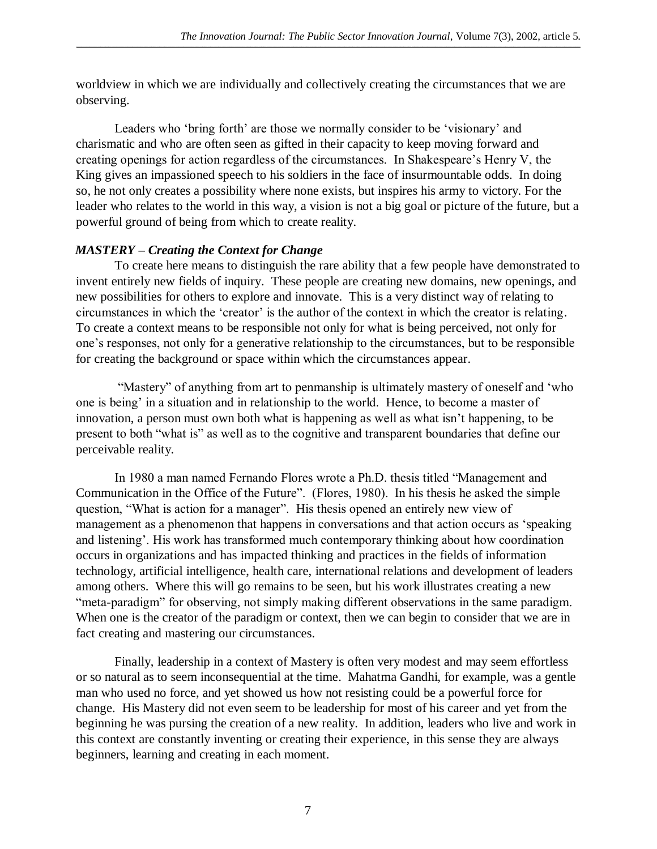worldview in which we are individually and collectively creating the circumstances that we are observing.

Leaders who 'bring forth' are those we normally consider to be 'visionary' and charismatic and who are often seen as gifted in their capacity to keep moving forward and creating openings for action regardless of the circumstances. In Shakespeare's Henry V, the King gives an impassioned speech to his soldiers in the face of insurmountable odds. In doing so, he not only creates a possibility where none exists, but inspires his army to victory. For the leader who relates to the world in this way, a vision is not a big goal or picture of the future, but a powerful ground of being from which to create reality.

# *MASTERY – Creating the Context for Change*

To create here means to distinguish the rare ability that a few people have demonstrated to invent entirely new fields of inquiry. These people are creating new domains, new openings, and new possibilities for others to explore and innovate. This is a very distinct way of relating to circumstances in which the 'creator' is the author of the context in which the creator is relating. To create a context means to be responsible not only for what is being perceived, not only for one's responses, not only for a generative relationship to the circumstances, but to be responsible for creating the background or space within which the circumstances appear.

"Mastery" of anything from art to penmanship is ultimately mastery of oneself and 'who one is being' in a situation and in relationship to the world. Hence, to become a master of innovation, a person must own both what is happening as well as what isn't happening, to be present to both "what is" as well as to the cognitive and transparent boundaries that define our perceivable reality.

In 1980 a man named Fernando Flores wrote a Ph.D. thesis titled "Management and Communication in the Office of the Future". (Flores, 1980). In his thesis he asked the simple question, "What is action for a manager". His thesis opened an entirely new view of management as a phenomenon that happens in conversations and that action occurs as 'speaking and listening'. His work has transformed much contemporary thinking about how coordination occurs in organizations and has impacted thinking and practices in the fields of information technology, artificial intelligence, health care, international relations and development of leaders among others. Where this will go remains to be seen, but his work illustrates creating a new "meta-paradigm" for observing, not simply making different observations in the same paradigm. When one is the creator of the paradigm or context, then we can begin to consider that we are in fact creating and mastering our circumstances.

Finally, leadership in a context of Mastery is often very modest and may seem effortless or so natural as to seem inconsequential at the time. Mahatma Gandhi, for example, was a gentle man who used no force, and yet showed us how not resisting could be a powerful force for change. His Mastery did not even seem to be leadership for most of his career and yet from the beginning he was pursing the creation of a new reality. In addition, leaders who live and work in this context are constantly inventing or creating their experience, in this sense they are always beginners, learning and creating in each moment.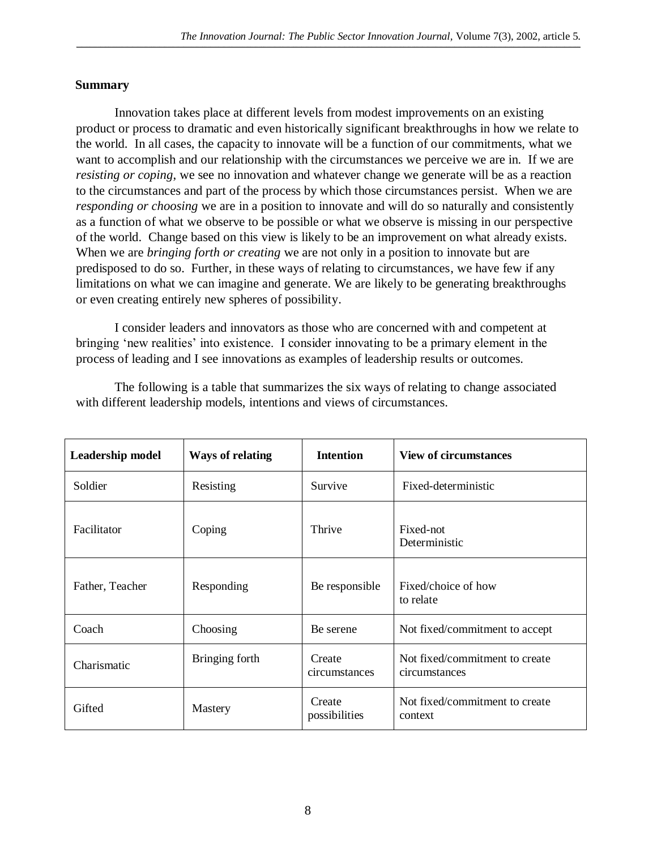#### **Summary**

Innovation takes place at different levels from modest improvements on an existing product or process to dramatic and even historically significant breakthroughs in how we relate to the world. In all cases, the capacity to innovate will be a function of our commitments, what we want to accomplish and our relationship with the circumstances we perceive we are in. If we are *resisting or coping*, we see no innovation and whatever change we generate will be as a reaction to the circumstances and part of the process by which those circumstances persist. When we are *responding or choosing* we are in a position to innovate and will do so naturally and consistently as a function of what we observe to be possible or what we observe is missing in our perspective of the world. Change based on this view is likely to be an improvement on what already exists. When we are *bringing forth or creating* we are not only in a position to innovate but are predisposed to do so. Further, in these ways of relating to circumstances, we have few if any limitations on what we can imagine and generate. We are likely to be generating breakthroughs or even creating entirely new spheres of possibility.

I consider leaders and innovators as those who are concerned with and competent at bringing 'new realities' into existence. I consider innovating to be a primary element in the process of leading and I see innovations as examples of leadership results or outcomes.

| Leadership model | <b>Ways of relating</b> | <b>Intention</b>        | <b>View of circumstances</b>                    |
|------------------|-------------------------|-------------------------|-------------------------------------------------|
| Soldier          | Resisting               | Survive                 | Fixed-deterministic                             |
| Facilitator      | Coping                  | Thrive                  | Fixed-not<br>Deterministic                      |
| Father, Teacher  | Responding              | Be responsible          | Fixed/choice of how<br>to relate                |
| Coach            | Choosing                | Be serene               | Not fixed/commitment to accept                  |
| Charismatic      | Bringing forth          | Create<br>circumstances | Not fixed/commitment to create<br>circumstances |
| Gifted           | Mastery                 | Create<br>possibilities | Not fixed/commitment to create<br>context       |

The following is a table that summarizes the six ways of relating to change associated with different leadership models, intentions and views of circumstances.